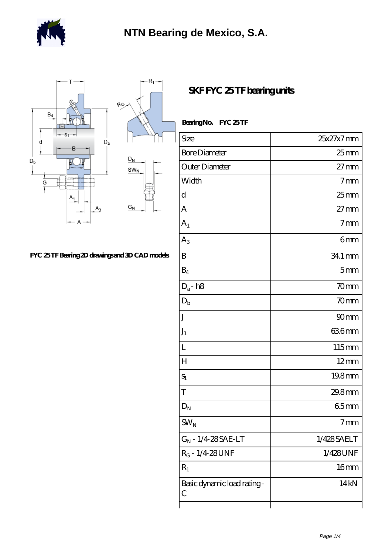



## **[FYC 25 TF Bearing 2D drawings and 3D CAD models](https://m.berliner-freunde.org/pic-391873.html)**

**[SKF FYC 25 TF bearing units](https://m.berliner-freunde.org/az-391873-skf-fyc-25-tf-bearing-units.html)**

| Bearing No. FYC 25TF            |                  |
|---------------------------------|------------------|
| Size                            | 25x27x7mm        |
| <b>Bore Diameter</b>            | $25$ mm          |
| Outer Diameter                  | $27 \text{mm}$   |
| Width                           | 7 <sub>mm</sub>  |
| d                               | $25$ mm          |
| A                               | $27$ mm          |
| $A_1$                           | 7 <sub>mm</sub>  |
| $A_3$                           | 6mm              |
| B                               | 34.1 mm          |
| $B_4$                           | 5mm              |
| $D_a$ - h $8$                   | 70mm             |
| $D_{b}$                         | 70mm             |
| J                               | 90 <sub>mm</sub> |
| $J_1$                           | 636mm            |
| L                               | 115mm            |
| $H_{\rm}$                       | $12 \text{mm}$   |
| $S_1$                           | 19.8mm           |
| T                               | 29.8mm           |
| $\mathbf{D}_\text{N}$           | 65mm             |
| $\text{SW}_\text{N}$            | 7 <sub>mm</sub>  |
| $G_N$ - 1/4 28 SAE-LT           | 1/428SAELT       |
| $R_G - 1/4.28$ UNF              | 1/428UNF         |
| $R_1$                           | 16 <sub>mm</sub> |
| Basic dynamic load rating-<br>С | 14 kN            |
|                                 |                  |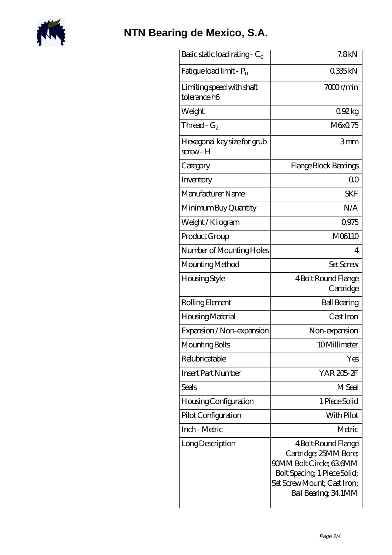

## **[NTN Bearing de Mexico, S.A.](https://m.berliner-freunde.org)**

| Basic static load rating - $C_0$          | 7.8 <sub>kN</sub>                                                                                                                                               |
|-------------------------------------------|-----------------------------------------------------------------------------------------------------------------------------------------------------------------|
| Fatigue load limit - P <sub>u</sub>       | 0335kN                                                                                                                                                          |
| Limiting speed with shaft<br>tolerance h6 | 7000r/min                                                                                                                                                       |
| Weight                                    | 0.92kg                                                                                                                                                          |
| Thread - $G_2$                            | M6x0.75                                                                                                                                                         |
| Hexagonal key size for grub<br>screw-H    | 3mm                                                                                                                                                             |
| Category                                  | Flange Block Bearings                                                                                                                                           |
| Inventory                                 | Q0                                                                                                                                                              |
| Manufacturer Name                         | <b>SKF</b>                                                                                                                                                      |
| Minimum Buy Quantity                      | N/A                                                                                                                                                             |
| Weight / Kilogram                         | 0975                                                                                                                                                            |
| Product Group                             | M06110                                                                                                                                                          |
| Number of Mounting Holes                  | 4                                                                                                                                                               |
| Mounting Method                           | <b>Set Screw</b>                                                                                                                                                |
| Housing Style                             | 4 Bolt Round Flange<br>Cartridge                                                                                                                                |
| Rolling Element                           | <b>Ball Bearing</b>                                                                                                                                             |
| Housing Material                          | Cast Iron                                                                                                                                                       |
| Expansion / Non-expansion                 | Non-expansion                                                                                                                                                   |
| Mounting Bolts                            | 10Millimeter                                                                                                                                                    |
| Relubricatable                            | Yes                                                                                                                                                             |
| <b>Insert Part Number</b>                 | YAR 205-2F                                                                                                                                                      |
| <b>Seals</b>                              | M Seal                                                                                                                                                          |
| Housing Configuration                     | 1 Piece Solid                                                                                                                                                   |
| Pilot Configuration                       | With Pilot                                                                                                                                                      |
| Inch - Metric                             | Metric                                                                                                                                                          |
| Long Description                          | 4 Bolt Round Flange<br>Cartridge; 25MM Bore;<br>90MM Bolt Circle; 636MM<br>Bolt Spacing, 1 Piece Solid;<br>Set Screw Mount; Cast Iron;<br>Ball Bearing, 34, 1MM |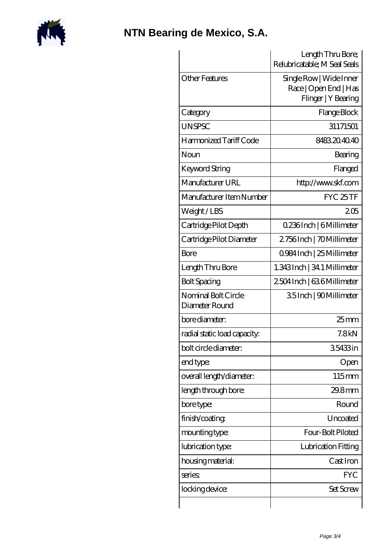

## **[NTN Bearing de Mexico, S.A.](https://m.berliner-freunde.org)**

|                                       | Length Thru Bore;<br>Relubricatable; M Seal Seals                       |
|---------------------------------------|-------------------------------------------------------------------------|
| <b>Other Features</b>                 | Single Row   Wide Inner<br>Race   Open End   Has<br>Flinger   Y Bearing |
| Category                              | Flange Block                                                            |
| <b>UNSPSC</b>                         | 31171501                                                                |
| Harmonized Tariff Code                | 8483204040                                                              |
| Noun                                  | Bearing                                                                 |
| Keyword String                        | Flanged                                                                 |
| Manufacturer URL                      | http://www.skf.com                                                      |
| Manufacturer Item Number              | FYC 25TF                                                                |
| Weight/LBS                            | 205                                                                     |
| Cartridge Pilot Depth                 | 0.236Inch   6Millimeter                                                 |
| Cartridge Pilot Diameter              | 2756Inch   70Millimeter                                                 |
| Bore                                  | 0.984 Inch   25 Millimeter                                              |
| Length Thru Bore                      | 1.343 Inch   34.1 Millimeter                                            |
| <b>Bolt Spacing</b>                   | 2504 Inch   636 Millimeter                                              |
| Nominal Bolt Circle<br>Diameter Round | 35Inch   90Millimeter                                                   |
| bore diameter:                        | $25$ mm                                                                 |
| radial static load capacity:          | 7.8 <sub>kN</sub>                                                       |
| bolt circle diameter:                 | 35433in                                                                 |
| end type:                             | Open                                                                    |
| overall length/diameter:              | 115mm                                                                   |
| length through bore:                  | 29.8mm                                                                  |
| bore type:                            | Round                                                                   |
| finish/coating                        | Uncoated                                                                |
| mounting type:                        | Four-Bolt Piloted                                                       |
| lubrication type:                     | Lubrication Fitting                                                     |
| housing material:                     | Cast Iron                                                               |
| series                                | FYC                                                                     |
| locking device:                       | Set Screw                                                               |
|                                       |                                                                         |